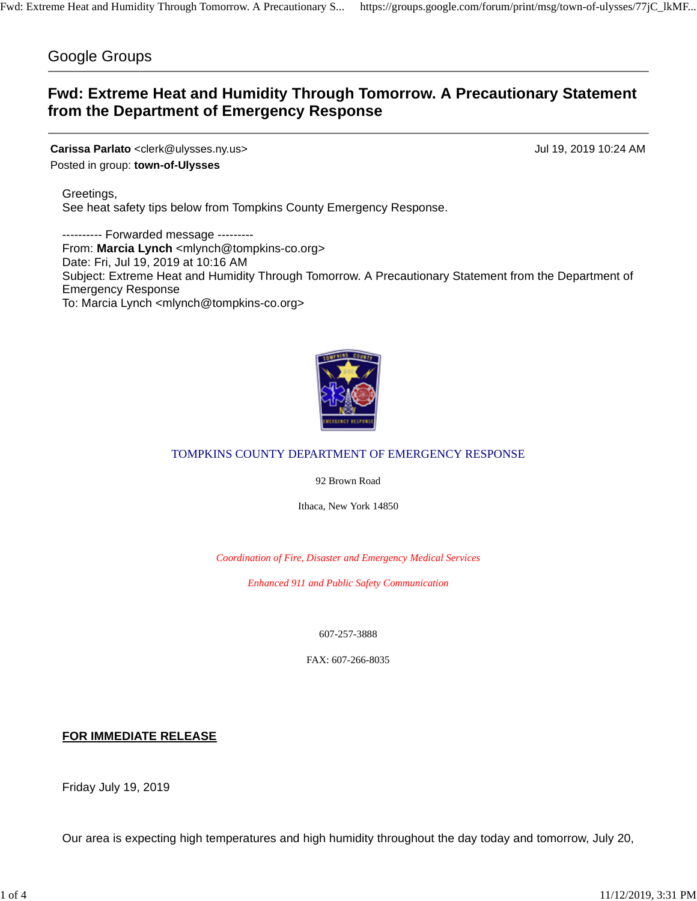## Google Groups

# **Fwd: Extreme Heat and Humidity Through Tomorrow. A Precautionary Statement from the Department of Emergency Response**

**Carissa Parlato** <clerk@ulysses.ny.us> Jul 19, 2019 10:24 AM Posted in group: **town-of-Ulysses**

Greetings, See heat safety tips below from Tompkins County Emergency Response.

---------- Forwarded message --------- From: Marcia Lynch <mlynch@tompkins-co.org> Date: Fri, Jul 19, 2019 at 10:16 AM Subject: Extreme Heat and Humidity Through Tomorrow. A Precautionary Statement from the Department of Emergency Response To: Marcia Lynch <mlynch@tompkins-co.org>



### TOMPKINS COUNTY DEPARTMENT OF EMERGENCY RESPONSE

92 Brown Road

Ithaca, New York 14850

*Coordination of Fire, Disaster and Emergency Medical Services*

*Enhanced 911 and Public Safety Communication*

607-257-3888

FAX: 607-266-8035

**FOR IMMEDIATE RELEASE**

Friday July 19, 2019

Our area is expecting high temperatures and high humidity throughout the day today and tomorrow, July 20,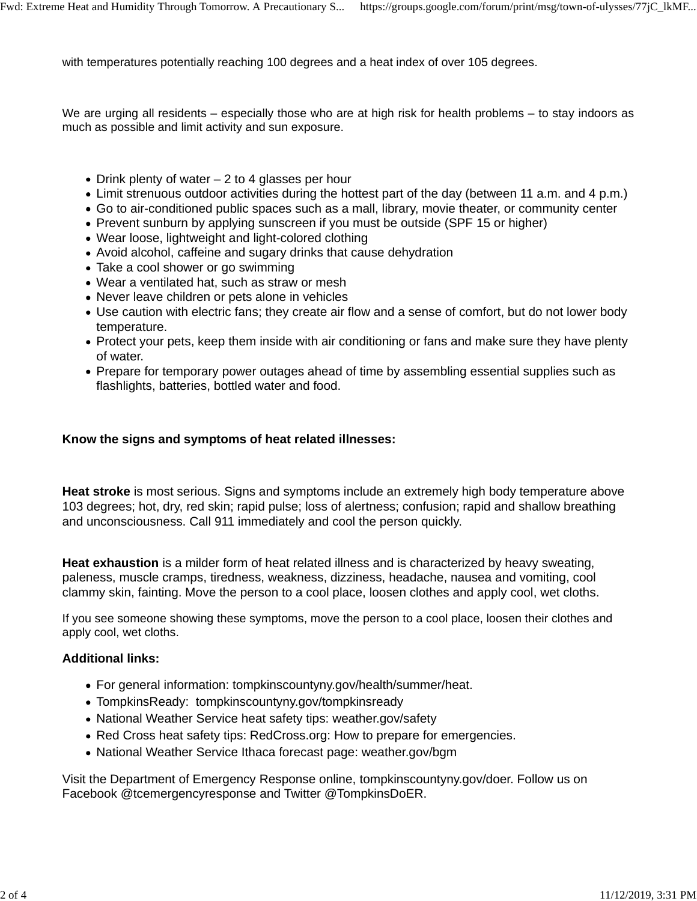with temperatures potentially reaching 100 degrees and a heat index of over 105 degrees.

We are urging all residents – especially those who are at high risk for health problems – to stay indoors as much as possible and limit activity and sun exposure.

- Drink plenty of water  $-2$  to 4 glasses per hour
- Limit strenuous outdoor activities during the hottest part of the day (between 11 a.m. and 4 p.m.)
- Go to air-conditioned public spaces such as a mall, library, movie theater, or community center
- Prevent sunburn by applying sunscreen if you must be outside (SPF 15 or higher)
- Wear loose, lightweight and light-colored clothing
- Avoid alcohol, caffeine and sugary drinks that cause dehydration
- Take a cool shower or go swimming
- Wear a ventilated hat, such as straw or mesh
- Never leave children or pets alone in vehicles
- Use caution with electric fans; they create air flow and a sense of comfort, but do not lower body temperature.
- Protect your pets, keep them inside with air conditioning or fans and make sure they have plenty of water.
- Prepare for temporary power outages ahead of time by assembling essential supplies such as flashlights, batteries, bottled water and food.

### **Know the signs and symptoms of heat related illnesses:**

**Heat stroke** is most serious. Signs and symptoms include an extremely high body temperature above 103 degrees; hot, dry, red skin; rapid pulse; loss of alertness; confusion; rapid and shallow breathing and unconsciousness. Call 911 immediately and cool the person quickly.

**Heat exhaustion** is a milder form of heat related illness and is characterized by heavy sweating, paleness, muscle cramps, tiredness, weakness, dizziness, headache, nausea and vomiting, cool clammy skin, fainting. Move the person to a cool place, loosen clothes and apply cool, wet cloths.

If you see someone showing these symptoms, move the person to a cool place, loosen their clothes and apply cool, wet cloths.

#### **Additional links:**

- For general information: tompkinscountyny.gov/health/summer/heat.
- TompkinsReady: tompkinscountyny.gov/tompkinsready
- National Weather Service heat safety tips: weather.gov/safety
- Red Cross heat safety tips: RedCross.org: How to prepare for emergencies.
- National Weather Service Ithaca forecast page: weather.gov/bgm

Visit the Department of Emergency Response online, tompkinscountyny.gov/doer. Follow us on Facebook @tcemergencyresponse and Twitter @TompkinsDoER.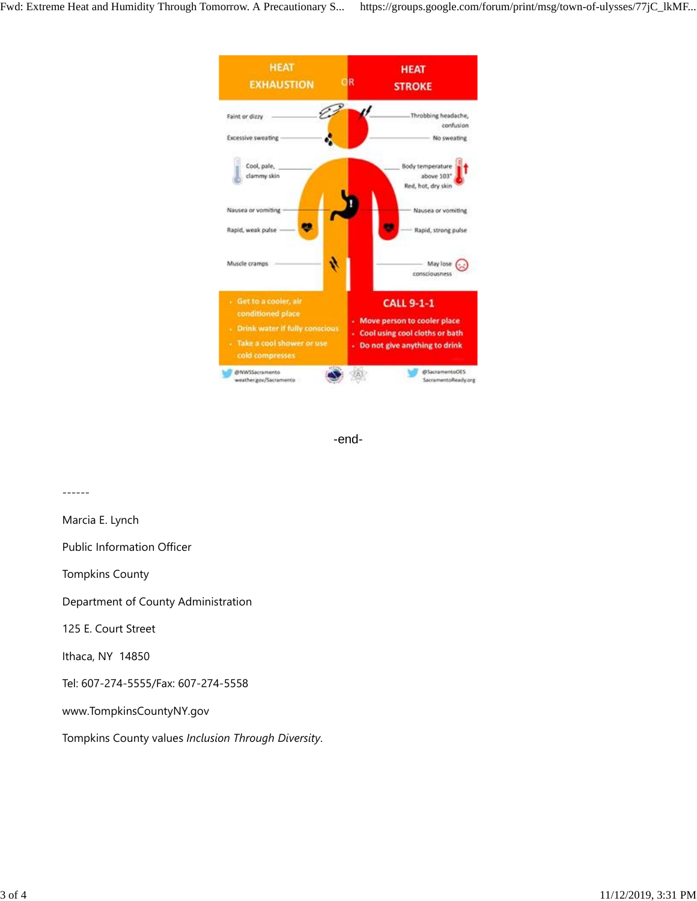



------ Marcia E. Lynch Public Information Officer Tompkins County Department of County Administration 125 E. Court Street Ithaca, NY 14850 Tel: 607-274-5555/Fax: 607-274-5558 www.TompkinsCountyNY.gov Tompkins County values *Inclusion Through Diversity*.